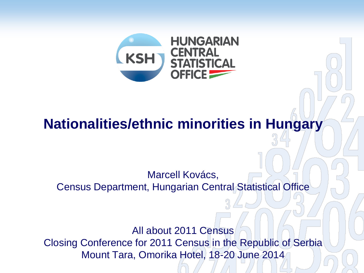

### **Nationalities/ethnic minorities in Hungary**

Marcell Kovács, Census Department, Hungarian Central Statistical Office

All about 2011 Census Closing Conference for 2011 Census in the Republic of Serbia Mount Tara, Omorika Hotel, 18-20 June 2014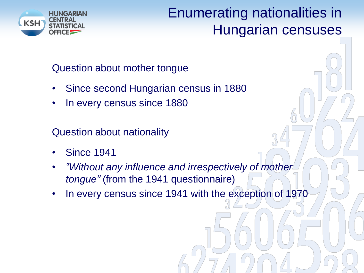

### Enumerating nationalities in Hungarian censuses

Question about mother tongue

- Since second Hungarian census in 1880
- In every census since 1880

Question about nationality

- Since 1941
- *"Without any influence and irrespectively of mother tongue"* (from the 1941 questionnaire)
- In every census since 1941 with the exception of 1970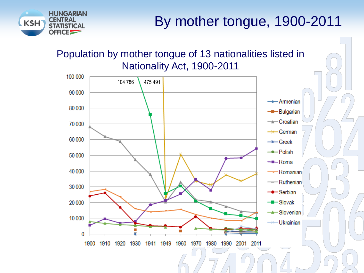

# By mother tongue, 1900-2011

#### Population by mother tongue of 13 nationalities listed in Nationality Act, 1900-2011

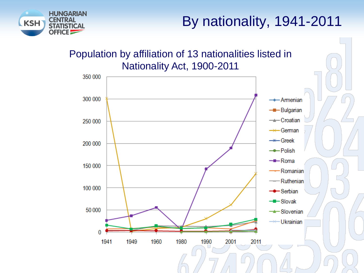

# By nationality, 1941-2011

#### Population by affiliation of 13 nationalities listed in Nationality Act, 1900-2011

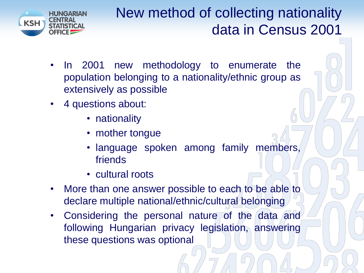

# New method of collecting nationality data in Census 2001

- In 2001 new methodology to enumerate the population belonging to a nationality/ethnic group as extensively as possible
- 4 questions about:
	- nationality
	- mother tongue
	- language spoken among family members, friends
	- cultural roots
- More than one answer possible to each to be able to declare multiple national/ethnic/cultural belonging
- Considering the personal nature of the data and following Hungarian privacy legislation, answering these questions was optional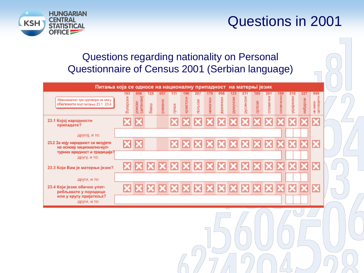### Questions in 2001



#### Questions regarding nationality on Personal Questionnaire of Census 2001 (Serbian language)

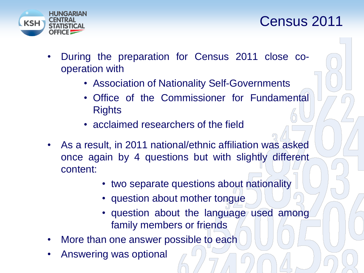

### Census 2011

- During the preparation for Census 2011 close cooperation with
	- Association of Nationality Self-Governments
	- Office of the Commissioner for Fundamental **Rights**
	- acclaimed researchers of the field
- As a result, in 2011 national/ethnic affiliation was asked once again by 4 questions but with slightly different content:
	- two separate questions about nationality
	- question about mother tongue
	- question about the language used among family members or friends
- More than one answer possible to each
- Answering was optional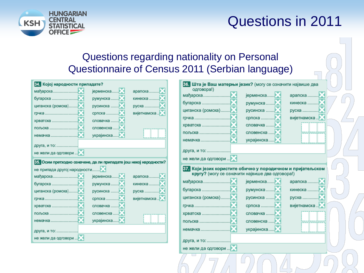### Questions in 2011



#### Questions regarding nationality on Personal Questionnaire of Census 2011 (Serbian language)

| 34. Којој народности припадате?                                                                                                                              |                                                                          |                                   | 36. Шта је Ваш матерњи језик? (могу се означити највише два |                                                                                                                                                                                            |                                   |
|--------------------------------------------------------------------------------------------------------------------------------------------------------------|--------------------------------------------------------------------------|-----------------------------------|-------------------------------------------------------------|--------------------------------------------------------------------------------------------------------------------------------------------------------------------------------------------|-----------------------------------|
| циганска (ромска)<br>пољска                                                                                                                                  | јерменска<br>румунска<br>русинска<br>словачка<br>словенска<br>украјинска | арапска<br>кинеска<br>вијетнамска | одговора!)<br>мађарска<br>циганска (ромска)<br>пољска       | јерменска<br>румунска<br>русинска<br>словачка<br>словенска<br>украјинска                                                                                                                   | арапска<br>кинеска<br>вијетнамска |
| друга, и то:<br>не жели да одговори                                                                                                                          |                                                                          |                                   | друга, и то:<br>не жели да одговори                         |                                                                                                                                                                                            |                                   |
| 35. Осим претходно означене, да ли припадате још некој народности?<br>не припада другој народности<br>циганска (ромска)<br>пољска<br>немачка<br>друга, и то: | јерменска<br>румунска<br>русинска<br>словачка<br>словенска<br>украјинска | кинеска<br>вијетнамска            | циганска (ромска)<br>пољска                                 | 37. Који језик користите обично у породичном и пријатељском<br>кругу? (могу се означити највише два одговора!)<br>јерменска<br>румунска<br>русинска<br>словачка<br>словенска<br>украјинска | арапска<br>кинеска<br>вијетнамска |
| не жели да одговори                                                                                                                                          |                                                                          |                                   | друга, и то:                                                |                                                                                                                                                                                            |                                   |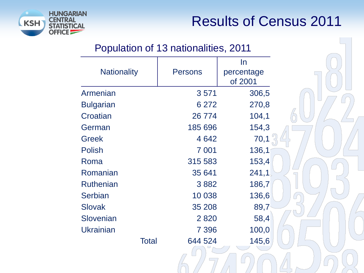

### Results of Census 2011

#### Population of 13 nationalities, 2011

|                    |                | In         |  |
|--------------------|----------------|------------|--|
| <b>Nationality</b> | <b>Persons</b> | percentage |  |
|                    |                | of 2001    |  |
| Armenian           | 3571           | 306,5      |  |
| <b>Bulgarian</b>   | 6 2 7 2        | 270,8      |  |
| Croatian           | 26 774         | 104,1      |  |
| German             | 185 696        | 154,3      |  |
| Greek              | 4642           | 70,1       |  |
| Polish             | 7 0 0 1        | 136,1      |  |
| Roma               | 315 583        | 153,4      |  |
| Romanian           | 35 641         | 241,1      |  |
| Ruthenian          | 3882           | 186,7      |  |
| <b>Serbian</b>     | 10 038         | 136,6      |  |
| Slovak             | 35 208         | 89,7       |  |
| Slovenian          | 2820           | 58,4       |  |
| Ukrainian          | 7 3 9 6        | 100,0      |  |
| <b>Total</b>       | 644 524        | 145,6      |  |
|                    |                |            |  |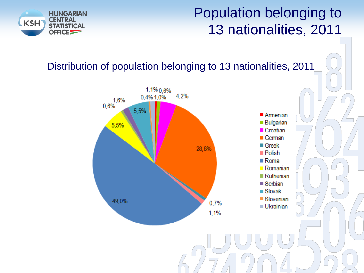### Population belonging to 13 nationalities, 2011



#### Distribution of population belonging to 13 nationalities, 2011

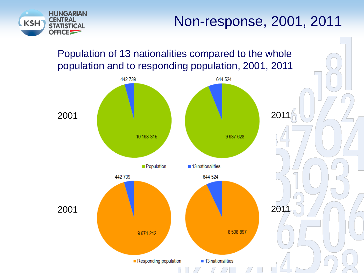



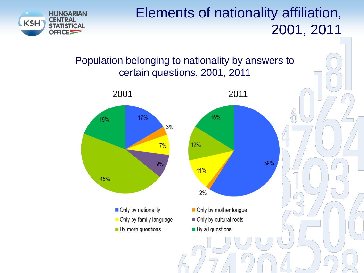

### Elements of nationality affiliation, 2001, 2011

59%

#### Population belonging to nationality by answers to certain questions, 2001, 2011

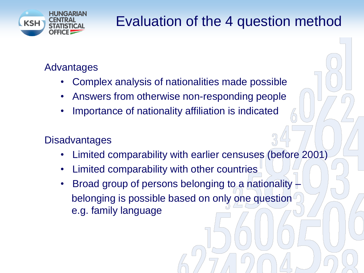

# Evaluation of the 4 question method

### Advantages

- Complex analysis of nationalities made possible
- Answers from otherwise non-responding people
- Importance of nationality affiliation is indicated

### **Disadvantages**

- Limited comparability with earlier censuses (before 2001)
- Limited comparability with other countries
- Broad group of persons belonging to a nationality belonging is possible based on only one question e.g. family language